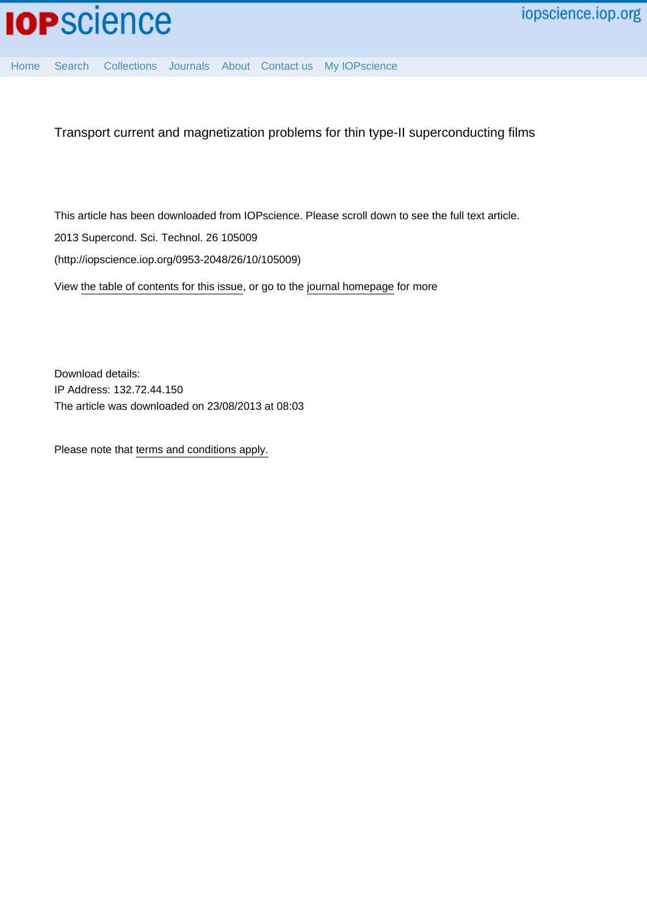

[Home](http://iopscience.iop.org/) [Search](http://iopscience.iop.org/search) [Collections](http://iopscience.iop.org/collections) [Journals](http://iopscience.iop.org/journals) [About](http://iopscience.iop.org/page/aboutioppublishing) [Contact us](http://iopscience.iop.org/contact) [My IOPscience](http://iopscience.iop.org/myiopscience)

Transport current and magnetization problems for thin type-II superconducting films

This article has been downloaded from IOPscience. Please scroll down to see the full text article. 2013 Supercond. Sci. Technol. 26 105009 (http://iopscience.iop.org/0953-2048/26/10/105009) View [the table of contents for this issue](http://iopscience.iop.org/0953-2048/26/10), or go to the [journal homepage](http://iopscience.iop.org/0953-2048) for more

Download details: IP Address: 132.72.44.150 The article was downloaded on 23/08/2013 at 08:03

Please note that [terms and conditions apply.](http://iopscience.iop.org/page/terms)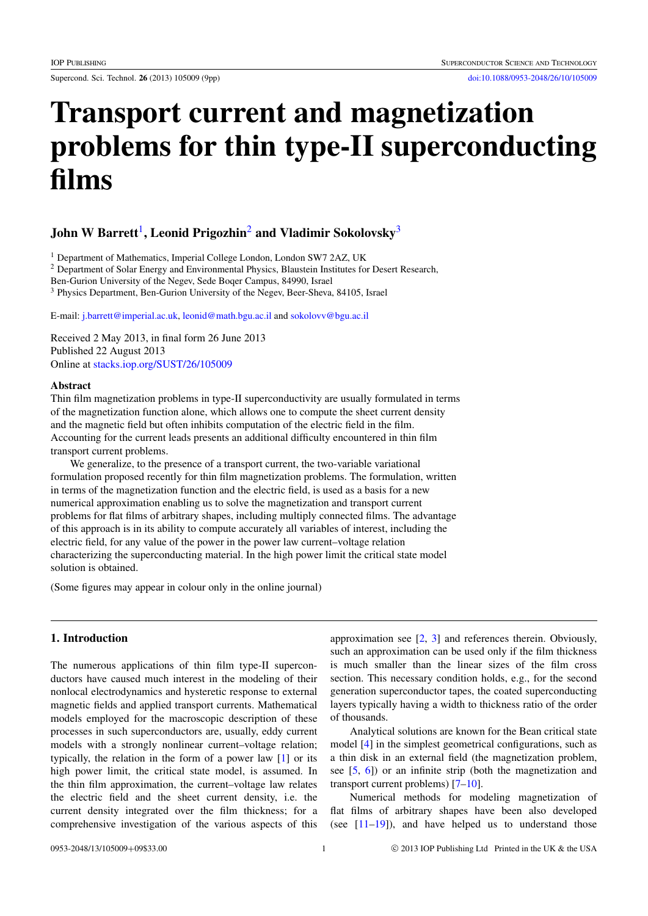Supercond. Sci. Technol. 26 (2013) 105009 (9pp) [doi:10.1088/0953-2048/26/10/105009](http://dx.doi.org/10.1088/0953-2048/26/10/105009)

# Transport current and magnetization problems for thin type-II superconducting films

## John W Barrett $^{\rm l}$ , Leonid Prigozhin $^{\rm 2}$  $^{\rm 2}$  $^{\rm 2}$  and Vladimir Sokolovsky $^{\rm 3}$  $^{\rm 3}$  $^{\rm 3}$

<span id="page-1-0"></span><sup>1</sup> Department of Mathematics, Imperial College London, London SW7 2AZ, UK

<span id="page-1-1"></span><sup>2</sup> Department of Solar Energy and Environmental Physics, Blaustein Institutes for Desert Research,

Ben-Gurion University of the Negev, Sede Boqer Campus, 84990, Israel

<span id="page-1-2"></span><sup>3</sup> Physics Department, Ben-Gurion University of the Negev, Beer-Sheva, 84105, Israel

E-mail: [j.barrett@imperial.ac.uk,](mailto:j.barrett@imperial.ac.uk) [leonid@math.bgu.ac.il](mailto:leonid@math.bgu.ac.il) and [sokolovv@bgu.ac.il](mailto:sokolovv@bgu.ac.il)

Received 2 May 2013, in final form 26 June 2013 Published 22 August 2013 Online at [stacks.iop.org/SUST/26/105009](http://stacks.iop.org/SUST/26/105009)

#### **Abstract**

Thin film magnetization problems in type-II superconductivity are usually formulated in terms of the magnetization function alone, which allows one to compute the sheet current density and the magnetic field but often inhibits computation of the electric field in the film. Accounting for the current leads presents an additional difficulty encountered in thin film transport current problems.

We generalize, to the presence of a transport current, the two-variable variational formulation proposed recently for thin film magnetization problems. The formulation, written in terms of the magnetization function and the electric field, is used as a basis for a new numerical approximation enabling us to solve the magnetization and transport current problems for flat films of arbitrary shapes, including multiply connected films. The advantage of this approach is in its ability to compute accurately all variables of interest, including the electric field, for any value of the power in the power law current–voltage relation characterizing the superconducting material. In the high power limit the critical state model solution is obtained.

(Some figures may appear in colour only in the online journal)

## 1. Introduction

The numerous applications of thin film type-II superconductors have caused much interest in the modeling of their nonlocal electrodynamics and hysteretic response to external magnetic fields and applied transport currents. Mathematical models employed for the macroscopic description of these processes in such superconductors are, usually, eddy current models with a strongly nonlinear current–voltage relation; typically, the relation in the form of a power law [\[1\]](#page-9-0) or its high power limit, the critical state model, is assumed. In the thin film approximation, the current–voltage law relates the electric field and the sheet current density, i.e. the current density integrated over the film thickness; for a comprehensive investigation of the various aspects of this approximation see [\[2,](#page-9-1) [3\]](#page-9-2) and references therein. Obviously, such an approximation can be used only if the film thickness is much smaller than the linear sizes of the film cross section. This necessary condition holds, e.g., for the second generation superconductor tapes, the coated superconducting layers typically having a width to thickness ratio of the order of thousands.

Analytical solutions are known for the Bean critical state model [\[4\]](#page-9-3) in the simplest geometrical configurations, such as a thin disk in an external field (the magnetization problem, see [\[5,](#page-9-4) [6\]](#page-9-5)) or an infinite strip (both the magnetization and transport current problems) [\[7](#page-9-6)[–10\]](#page-9-7).

Numerical methods for modeling magnetization of flat films of arbitrary shapes have been also developed (see  $[11-19]$  $[11-19]$ ), and have helped us to understand those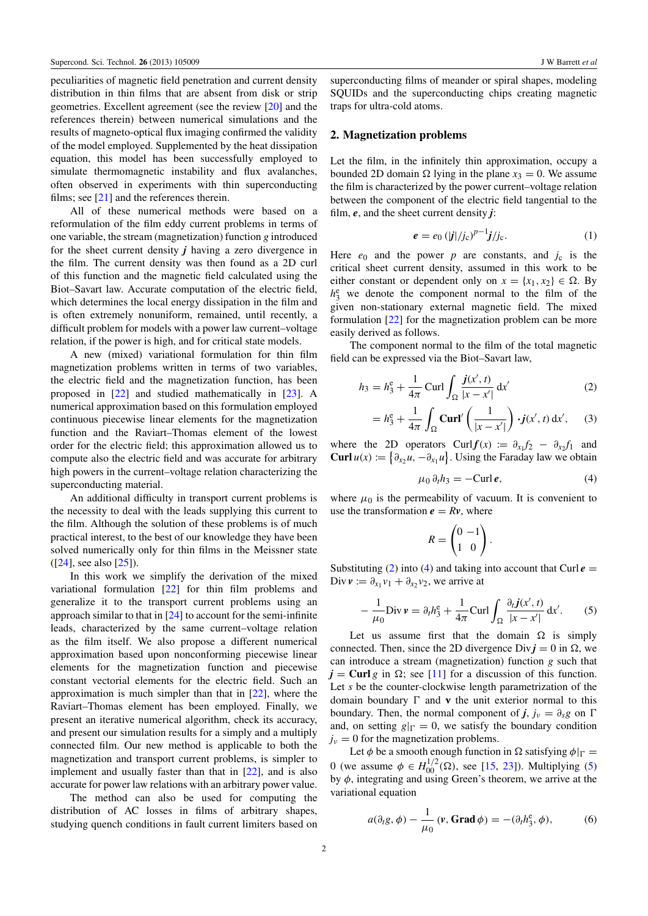peculiarities of magnetic field penetration and current density distribution in thin films that are absent from disk or strip geometries. Excellent agreement (see the review [\[20\]](#page-9-10) and the references therein) between numerical simulations and the results of magneto-optical flux imaging confirmed the validity of the model employed. Supplemented by the heat dissipation equation, this model has been successfully employed to simulate thermomagnetic instability and flux avalanches, often observed in experiments with thin superconducting films; see  $[21]$  and the references therein.

All of these numerical methods were based on a reformulation of the film eddy current problems in terms of one variable, the stream (magnetization) function *g* introduced for the sheet current density *j* having a zero divergence in the film. The current density was then found as a 2D curl of this function and the magnetic field calculated using the Biot–Savart law. Accurate computation of the electric field, which determines the local energy dissipation in the film and is often extremely nonuniform, remained, until recently, a difficult problem for models with a power law current–voltage relation, if the power is high, and for critical state models.

A new (mixed) variational formulation for thin film magnetization problems written in terms of two variables, the electric field and the magnetization function, has been proposed in [\[22\]](#page-9-12) and studied mathematically in [\[23\]](#page-9-13). A numerical approximation based on this formulation employed continuous piecewise linear elements for the magnetization function and the Raviart–Thomas element of the lowest order for the electric field; this approximation allowed us to compute also the electric field and was accurate for arbitrary high powers in the current–voltage relation characterizing the superconducting material.

An additional difficulty in transport current problems is the necessity to deal with the leads supplying this current to the film. Although the solution of these problems is of much practical interest, to the best of our knowledge they have been solved numerically only for thin films in the Meissner state ([\[24\]](#page-9-14), see also [\[25\]](#page-9-15)).

In this work we simplify the derivation of the mixed variational formulation [\[22\]](#page-9-12) for thin film problems and generalize it to the transport current problems using an approach similar to that in [\[24\]](#page-9-14) to account for the semi-infinite leads, characterized by the same current–voltage relation as the film itself. We also propose a different numerical approximation based upon nonconforming piecewise linear elements for the magnetization function and piecewise constant vectorial elements for the electric field. Such an approximation is much simpler than that in [\[22\]](#page-9-12), where the Raviart–Thomas element has been employed. Finally, we present an iterative numerical algorithm, check its accuracy, and present our simulation results for a simply and a multiply connected film. Our new method is applicable to both the magnetization and transport current problems, is simpler to implement and usually faster than that in [\[22\]](#page-9-12), and is also accurate for power law relations with an arbitrary power value.

The method can also be used for computing the distribution of AC losses in films of arbitrary shapes, studying quench conditions in fault current limiters based on

superconducting films of meander or spiral shapes, modeling SQUIDs and the superconducting chips creating magnetic traps for ultra-cold atoms.

#### 2. Magnetization problems

Let the film, in the infinitely thin approximation, occupy a bounded 2D domain  $\Omega$  lying in the plane  $x_3 = 0$ . We assume the film is characterized by the power current–voltage relation between the component of the electric field tangential to the film, *e*, and the sheet current density *j*:

<span id="page-2-3"></span>
$$
e = e_0 (|j|/j_c)^{p-1} j/j_c.
$$
 (1)

Here  $e_0$  and the power  $p$  are constants, and  $j_c$  is the critical sheet current density, assumed in this work to be either constant or dependent only on  $x = \{x_1, x_2\} \in \Omega$ . By  $h_3^e$  we denote the component normal to the film of the given non-stationary external magnetic field. The mixed formulation [\[22\]](#page-9-12) for the magnetization problem can be more easily derived as follows.

The component normal to the film of the total magnetic field can be expressed via the Biot–Savart law,

$$
h_3 = h_3^e + \frac{1}{4\pi} \operatorname{Curl} \int_{\Omega} \frac{j(x', t)}{|x - x'|} \, \mathrm{d}x' \tag{2}
$$

$$
= h_3^e + \frac{1}{4\pi} \int_{\Omega} \mathbf{Curl}'\left(\frac{1}{|x - x'|}\right) \cdot j(x', t) \, \mathrm{d}x', \qquad (3)
$$

where the 2D operators Curl  $f(x) := \partial_{x_1} f_2 - \partial_{x_2} f_1$  and **Curl**  $u(x) := \left\{ \partial_{x_2} u, -\partial_{x_1} u \right\}$ . Using the Faraday law we obtain

<span id="page-2-5"></span><span id="page-2-0"></span>
$$
\mu_0 \, \partial_t h_3 = -\mathrm{Curl}\, \boldsymbol{e},\tag{4}
$$

where  $\mu_0$  is the permeability of vacuum. It is convenient to use the transformation  $e = Rv$ , where

<span id="page-2-2"></span><span id="page-2-1"></span>
$$
R = \begin{pmatrix} 0 & -1 \\ 1 & 0 \end{pmatrix}.
$$

Substituting [\(2\)](#page-2-0) into [\(4\)](#page-2-1) and taking into account that Curl  $e =$ Div  $v := \partial_{x_1} v_1 + \partial_{x_2} v_2$ , we arrive at

$$
-\frac{1}{\mu_0} \operatorname{Div} \mathbf{v} = \partial_t h_3^e + \frac{1}{4\pi} \operatorname{Curl} \int_{\Omega} \frac{\partial_t \mathbf{j}(x',t)}{|x - x'|} \, \mathrm{d}x'. \tag{5}
$$

Let us assume first that the domain  $\Omega$  is simply connected. Then, since the 2D divergence Div $j = 0$  in  $\Omega$ , we can introduce a stream (magnetization) function *g* such that  $j =$  Curl *g* in  $\Omega$ ; see [\[11\]](#page-9-8) for a discussion of this function. Let *s* be the counter-clockwise length parametrization of the domain boundary  $\Gamma$  and **v** the unit exterior normal to this boundary. Then, the normal component of *j*,  $j_v = \partial_s g$  on  $\Gamma$ and, on setting  $g|_{\Gamma}=0$ , we satisfy the boundary condition  $j_{\nu} = 0$  for the magnetization problems.

Let  $\phi$  be a smooth enough function in  $\Omega$  satisfying  $\phi|_{\Gamma} =$ 0 (we assume  $\phi \in H_{00}^{1/2}(\Omega)$ , see [\[15,](#page-9-16) [23\]](#page-9-13)). Multiplying [\(5\)](#page-2-2) by  $\phi$ , integrating and using Green's theorem, we arrive at the variational equation

<span id="page-2-4"></span>
$$
a(\partial_t g, \phi) - \frac{1}{\mu_0} (\mathbf{v}, \mathbf{Grad}\,\phi) = -(\partial_t h_3^e, \phi), \tag{6}
$$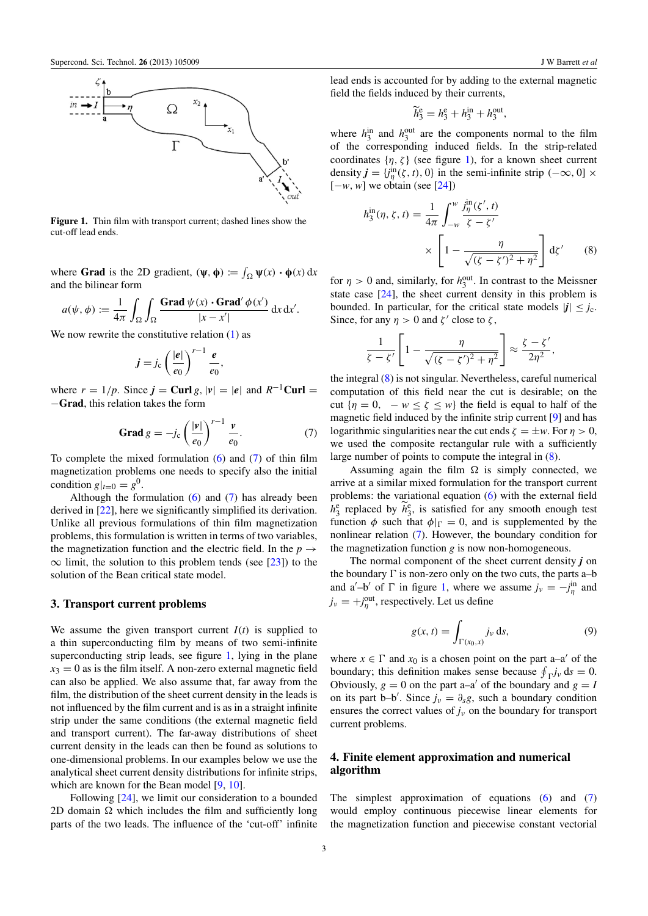<span id="page-3-1"></span>

Figure 1. Thin film with transport current; dashed lines show the cut-off lead ends.

where **Grad** is the 2D gradient,  $(\psi, \phi) := \int_{\Omega} \psi(x) \cdot \phi(x) dx$ and the bilinear form

$$
a(\psi, \phi) := \frac{1}{4\pi} \int_{\Omega} \int_{\Omega} \frac{\text{Grad } \psi(x) \cdot \text{Grad}' \phi(x')}{|x - x'|} \, dx \, dx'.
$$

We now rewrite the constitutive relation  $(1)$  as

$$
\boldsymbol{j} = j_{\rm c} \left( \frac{|\boldsymbol{e}|}{e_0} \right)^{r-1} \frac{\boldsymbol{e}}{e_0},
$$

where  $r = 1/p$ . Since  $j = \text{Curl } g$ ,  $|v| = |e|$  and  $R^{-1}$ Curl = −Grad, this relation takes the form

$$
\mathbf{Grad}\,g = -j_c \left(\frac{|\mathbf{v}|}{e_0}\right)^{r-1} \frac{\mathbf{v}}{e_0}.\tag{7}
$$

To complete the mixed formulation  $(6)$  and  $(7)$  of thin film magnetization problems one needs to specify also the initial condition  $g|_{t=0} = g^0$ .

Although the formulation  $(6)$  and  $(7)$  has already been derived in [\[22\]](#page-9-12), here we significantly simplified its derivation. Unlike all previous formulations of thin film magnetization problems, this formulation is written in terms of two variables, the magnetization function and the electric field. In the  $p \rightarrow$  $\infty$  limit, the solution to this problem tends (see [\[23\]](#page-9-13)) to the solution of the Bean critical state model.

#### 3. Transport current problems

We assume the given transport current  $I(t)$  is supplied to a thin superconducting film by means of two semi-infinite superconducting strip leads, see figure [1,](#page-3-1) lying in the plane  $x_3 = 0$  as is the film itself. A non-zero external magnetic field can also be applied. We also assume that, far away from the film, the distribution of the sheet current density in the leads is not influenced by the film current and is as in a straight infinite strip under the same conditions (the external magnetic field and transport current). The far-away distributions of sheet current density in the leads can then be found as solutions to one-dimensional problems. In our examples below we use the analytical sheet current density distributions for infinite strips, which are known for the Bean model [\[9,](#page-9-17) [10\]](#page-9-7).

Following [\[24\]](#page-9-14), we limit our consideration to a bounded 2D domain  $\Omega$  which includes the film and sufficiently long parts of the two leads. The influence of the 'cut-off' infinite

lead ends is accounted for by adding to the external magnetic field the fields induced by their currents,

<span id="page-3-2"></span>
$$
\widetilde{h}_3^e = h_3^e + h_3^{\text{in}} + h_3^{\text{out}},
$$

where  $h_3^{\text{in}}$  and  $h_3^{\text{out}}$  are the components normal to the film of the corresponding induced fields. In the strip-related coordinates  $\{\eta, \zeta\}$  (see figure [1\)](#page-3-1), for a known sheet current density  $j = {j^{\text{in}}_{\eta}(\zeta, t), 0}$  in the semi-infinite strip  $(-\infty, 0] \times$  $[-w, w]$  we obtain (see [\[24\]](#page-9-14))

$$
h_3^{\text{in}}(\eta, \zeta, t) = \frac{1}{4\pi} \int_{-\omega}^{\omega} \frac{j_{\eta}^{\text{in}}(\zeta', t)}{\zeta - \zeta'}
$$

$$
\times \left[1 - \frac{\eta}{\sqrt{(\zeta - \zeta')^2 + \eta^2}}\right] d\zeta'
$$
(8)

for  $\eta > 0$  and, similarly, for  $h_3^{\text{out}}$ . In contrast to the Meissner state case [\[24\]](#page-9-14), the sheet current density in this problem is bounded. In particular, for the critical state models  $|j| < j_c$ . Since, for any  $\eta > 0$  and  $\zeta'$  close to  $\zeta$ ,

$$
\frac{1}{\zeta - \zeta'} \left[ 1 - \frac{\eta}{\sqrt{(\zeta - \zeta')^2 + \eta^2}} \right] \approx \frac{\zeta - \zeta'}{2\eta^2},
$$

<span id="page-3-0"></span>the integral [\(8\)](#page-3-2) is not singular. Nevertheless, careful numerical computation of this field near the cut is desirable; on the cut  ${n = 0, -w < \zeta \leq w}$  the field is equal to half of the magnetic field induced by the infinite strip current [\[9\]](#page-9-17) and has logarithmic singularities near the cut ends  $\zeta = \pm w$ . For  $n > 0$ , we used the composite rectangular rule with a sufficiently large number of points to compute the integral in [\(8\)](#page-3-2).

Assuming again the film  $\Omega$  is simply connected, we arrive at a similar mixed formulation for the transport current problems: the variational equation [\(6\)](#page-2-4) with the external field  $h_3^e$  replaced by  $\widetilde{h}_3^e$ , is satisfied for any smooth enough test function  $\phi$  such that  $\phi|_{\Gamma} = 0$ , and is supplemented by the nonlinear relation [\(7\)](#page-3-0). However, the boundary condition for the magnetization function *g* is now non-homogeneous.

The normal component of the sheet current density *j* on the boundary  $\Gamma$  is non-zero only on the two cuts, the parts a–b and a'-b' of  $\Gamma$  in figure [1,](#page-3-1) where we assume  $j_{\nu} = -j_{\eta}^{\text{in}}$  and  $j_{\nu} = +j_{\eta}^{\text{out}}$ , respectively. Let us define

<span id="page-3-3"></span>
$$
g(x, t) = \int_{\Gamma(x_0, x)} j_{\nu} \, \mathrm{d}s,\tag{9}
$$

where  $x \in \Gamma$  and  $x_0$  is a chosen point on the part a–a' of the boundary; this definition makes sense because  $\oint_{\Gamma} j_{\nu} ds = 0$ . Obviously,  $g = 0$  on the part a–a' of the boundary and  $g = l$ on its part b–b'. Since  $j_{\nu} = \partial_s g$ , such a boundary condition ensures the correct values of  $j_{v}$  on the boundary for transport current problems.

## <span id="page-3-4"></span>4. Finite element approximation and numerical algorithm

The simplest approximation of equations  $(6)$  and  $(7)$ would employ continuous piecewise linear elements for the magnetization function and piecewise constant vectorial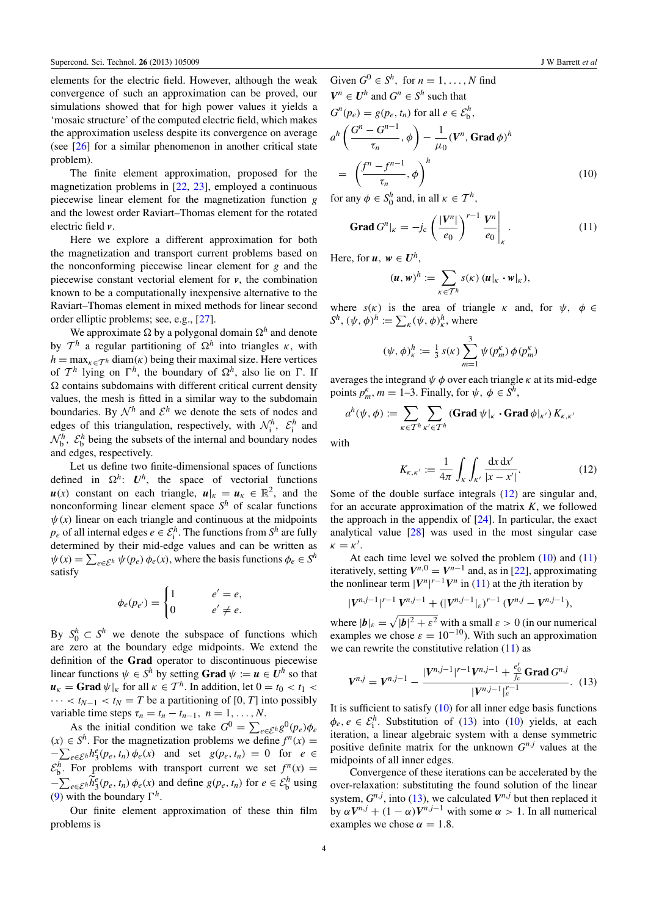elements for the electric field. However, although the weak convergence of such an approximation can be proved, our simulations showed that for high power values it yields a 'mosaic structure' of the computed electric field, which makes the approximation useless despite its convergence on average (see [\[26\]](#page-9-18) for a similar phenomenon in another critical state problem).

The finite element approximation, proposed for the magnetization problems in [\[22,](#page-9-12) [23\]](#page-9-13), employed a continuous piecewise linear element for the magnetization function *g* and the lowest order Raviart–Thomas element for the rotated electric field *v*.

Here we explore a different approximation for both the magnetization and transport current problems based on the nonconforming piecewise linear element for *g* and the piecewise constant vectorial element for *v*, the combination known to be a computationally inexpensive alternative to the Raviart–Thomas element in mixed methods for linear second order elliptic problems; see, e.g., [\[27\]](#page-9-19).

We approximate  $\Omega$  by a polygonal domain  $\Omega^h$  and denote by  $\mathcal{T}^h$  a regular partitioning of  $\Omega^h$  into triangles  $\kappa$ , with  $h = \max_{\kappa \in \mathcal{T}^h}$  diam( $\kappa$ ) being their maximal size. Here vertices of  $\mathcal{T}^h$  lying on  $\Gamma^h$ , the boundary of  $\Omega^h$ , also lie on  $\Gamma$ . If  $\Omega$  contains subdomains with different critical current density values, the mesh is fitted in a similar way to the subdomain boundaries. By  $\mathcal{N}^h$  and  $\mathcal{E}^h$  we denote the sets of nodes and edges of this triangulation, respectively, with  $\mathcal{N}_i^h$ ,  $\mathcal{E}_i^h$  and  $\mathcal{N}_b^h$ ,  $\mathcal{E}_b^h$  being the subsets of the internal and boundary nodes and edges, respectively.

Let us define two finite-dimensional spaces of functions defined in  $\Omega^h$ :  $U^h$ , the space of vectorial functions  $u(x)$  constant on each triangle,  $u|_k = u_k \in \mathbb{R}^2$ , and the nonconforming linear element space *S <sup>h</sup>* of scalar functions  $\psi(x)$  linear on each triangle and continuous at the midpoints  $p_e$  of all internal edges  $e \in \mathcal{E}_i^h$ . The functions from  $S^h$  are fully determined by their mid-edge values and can be written as  $\psi(x) = \sum_{e \in \mathcal{E}^h} \psi(p_e) \phi_e(x)$ , where the basis functions  $\phi_e \in S^h$ satisfy

$$
\phi_e(p_{e'}) = \begin{cases} 1 & e' = e, \\ 0 & e' \neq e. \end{cases}
$$

By  $S_0^h \subset S^h$  we denote the subspace of functions which are zero at the boundary edge midpoints. We extend the definition of the Grad operator to discontinuous piecewise linear functions  $\psi \in S^h$  by setting **Grad**  $\psi := u \in U^h$  so that  $\mathbf{u}_{\kappa} = \mathbf{Grad} \psi|_{\kappa}$  for all  $\kappa \in \mathcal{T}^h$ . In addition, let  $0 = t_0 < t_1 <$  $\cdots < t_{N-1} < t_N = T$  be a partitioning of [0, *T*] into possibly variable time steps  $\tau_n = t_n - t_{n-1}, \quad n = 1, \ldots, N$ .

As the initial condition we take  $G^0 = \sum_{e \in \mathcal{E}^h} g^0(p_e) \phi_e$  $(x)$  ∈  $S<sup>h</sup>$ . For the magnetization problems we define  $f<sup>n</sup>(x)$  =  $-\sum_{e \in \mathcal{E}^h} h_3^e(p_e, t_n) \phi_e(x)$  and set  $g(p_e, t_n) = 0$  for  $e \in$  $\mathcal{E}_b^h$ . For problems with transport current we set  $f^n(x) =$  $-\sum_{e \in \mathcal{E}^h} \widetilde{h}_3^e(p_e, t_n) \phi_e(x)$  and define  $g(p_e, t_n)$  for  $e \in \mathcal{E}_b^h$  using [\(9\)](#page-3-3) with the boundary  $\Gamma^h$ .

Our finite element approximation of these thin film problems is

Given 
$$
G^0 \in S^h
$$
, for  $n = 1, ..., N$  find  
\n $V^n \in U^h$  and  $G^n \in S^h$  such that  
\n $G^n(p_e) = g(p_e, t_n)$  for all  $e \in \mathcal{E}_b^h$ ,  
\n $a^h \left( \frac{G^n - G^{n-1}}{g^n}, \phi \right) - \frac{1}{g} (V^n, \text{Grad } \phi)^h$ 

$$
a^{h}\left(\frac{\mathbf{O}-\mathbf{O}}{\tau_{n}},\phi\right)-\frac{1}{\mu_{0}}(\mathbf{V}^{n},\mathbf{Grad}\,\phi)^{h}
$$

$$
=\left(\frac{f^{n}-f^{n-1}}{\tau_{n}},\phi\right)^{h}
$$
(10)

for any  $\phi \in S_0^h$  and, in all  $\kappa \in \mathcal{T}^h$ ,

$$
\text{Grad } G^n|_{\kappa} = -j_c \left( \frac{|V^n|}{e_0} \right)^{r-1} \frac{V^n}{e_0} \Bigg|_{\kappa} . \tag{11}
$$

Here, for  $u, w \in U^h$ ,

 $($ 

<span id="page-4-2"></span><span id="page-4-1"></span>
$$
(\boldsymbol{u},\boldsymbol{w})^h:=\sum_{\kappa\in\mathcal{T}^h} s(\kappa)\,(\boldsymbol{u}|_{\kappa}\cdot\boldsymbol{w}|_{\kappa}),
$$

where  $s(\kappa)$  is the area of triangle  $\kappa$  and, for  $\psi$ ,  $\phi \in$  $S^h$ ,  $(\psi, \phi)^h := \sum_{\kappa} (\psi, \phi)^h_{\kappa}$ , where

$$
\psi, \phi)^h_{\kappa} := \frac{1}{3} s(\kappa) \sum_{m=1}^3 \psi(p_m^{\kappa}) \phi(p_m^{\kappa})
$$

averages the integrand  $\psi \phi$  over each triangle  $\kappa$  at its mid-edge points  $p_m^k$ ,  $m = 1-3$ . Finally, for  $\psi$ ,  $\phi \in S^h$ ,

$$
a^h(\psi,\phi) := \sum_{\kappa \in T^h} \sum_{\kappa' \in T^h} (\mathbf{Grad}\,\psi|_{\kappa} \cdot \mathbf{Grad}\,\phi|_{\kappa'})\, K_{\kappa,\kappa'}
$$

with

<span id="page-4-0"></span>
$$
K_{\kappa,\kappa'} := \frac{1}{4\pi} \int_{K} \int_{\kappa'} \frac{dx \, dx'}{|x - x'|}. \tag{12}
$$

Some of the double surface integrals [\(12\)](#page-4-0) are singular and, for an accurate approximation of the matrix *K*, we followed the approach in the appendix of  $[24]$ . In particular, the exact analytical value [\[28\]](#page-9-20) was used in the most singular case  $\kappa = \kappa'.$ 

At each time level we solved the problem  $(10)$  and  $(11)$ iteratively, setting  $V^{n,0} = V^{n-1}$  and, as in [\[22\]](#page-9-12), approximating the nonlinear term  $|V^n|^{r-1}V^n$  in [\(11\)](#page-4-2) at the *j*th iteration by

$$
|V^{n,j-1}|^{r-1} V^{n,j-1} + (|V^{n,j-1}|_{\varepsilon})^{r-1} (V^{n,j} - V^{n,j-1}),
$$

where  $|\boldsymbol{b}|_{\varepsilon} = \sqrt{|\boldsymbol{b}|^2 + \varepsilon^2}$  with a small  $\varepsilon > 0$  (in our numerical examples we chose  $\varepsilon = 10^{-10}$ ). With such an approximation we can rewrite the constitutive relation  $(11)$  as

<span id="page-4-3"></span>
$$
V^{n,j} = V^{n,j-1} - \frac{|V^{n,j-1}|^{r-1}V^{n,j-1} + \frac{e_0^r}{j_c} \text{Grad } G^{n,j}}{|V^{n,j-1}|_{\varepsilon}^{r-1}}.
$$
 (13)

It is sufficient to satisfy  $(10)$  for all inner edge basis functions  $\phi_e, e \in \mathcal{E}_i^h$ . Substitution of [\(13\)](#page-4-3) into [\(10\)](#page-4-1) yields, at each iteration, a linear algebraic system with a dense symmetric positive definite matrix for the unknown  $G^{n,j}$  values at the midpoints of all inner edges.

Convergence of these iterations can be accelerated by the over-relaxation: substituting the found solution of the linear system,  $G^{n,j}$ , into [\(13\)](#page-4-3), we calculated  $V^{n,j}$  but then replaced it by  $\alpha V^{n,j} + (1 - \alpha)V^{n,j-1}$  with some  $\alpha > 1$ . In all numerical examples we chose  $\alpha = 1.8$ .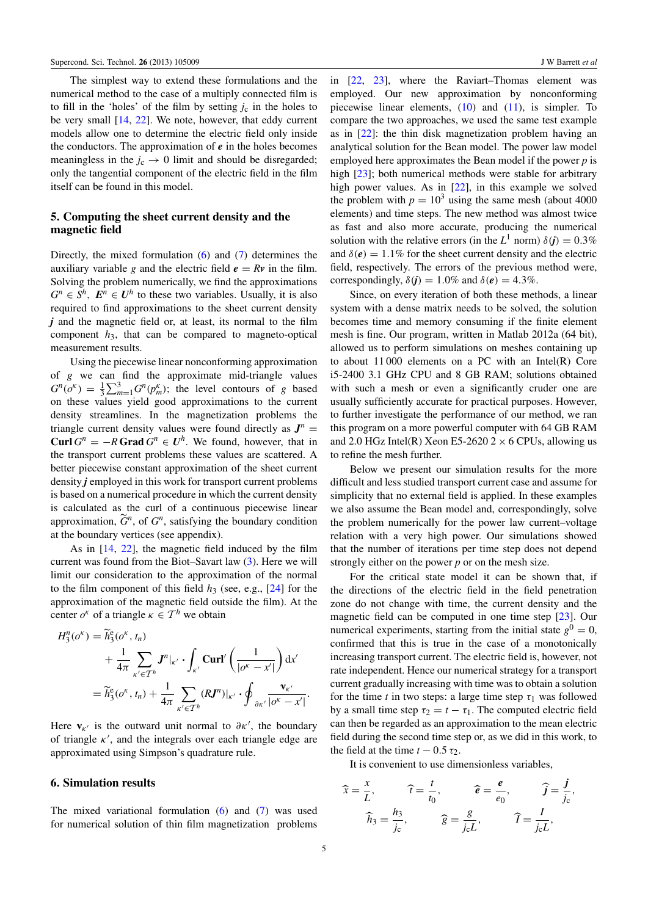The simplest way to extend these formulations and the numerical method to the case of a multiply connected film is to fill in the 'holes' of the film by setting  $j_c$  in the holes to be very small [\[14,](#page-9-21) [22\]](#page-9-12). We note, however, that eddy current models allow one to determine the electric field only inside the conductors. The approximation of *e* in the holes becomes meaningless in the  $j_c \rightarrow 0$  limit and should be disregarded; only the tangential component of the electric field in the film itself can be found in this model.

## 5. Computing the sheet current density and the magnetic field

Directly, the mixed formulation [\(6\)](#page-2-4) and [\(7\)](#page-3-0) determines the auxiliary variable *g* and the electric field  $e = Rv$  in the film. Solving the problem numerically, we find the approximations  $G^n \in S^n$ ,  $E^n \in U^h$  to these two variables. Usually, it is also required to find approximations to the sheet current density *j* and the magnetic field or, at least, its normal to the film component *h*3, that can be compared to magneto-optical measurement results.

Using the piecewise linear nonconforming approximation of *g* we can find the approximate mid-triangle values  $G^n(o^k) = \frac{1}{3} \sum_{m=1}^3 G^n(p_m^k)$ ; the level contours of *g* based on these values yield good approximations to the current density streamlines. In the magnetization problems the triangle current density values were found directly as  $J^n =$ **Curl**  $G^n = -R$  **Grad**  $G^n \in U^h$ . We found, however, that in the transport current problems these values are scattered. A better piecewise constant approximation of the sheet current density *j* employed in this work for transport current problems is based on a numerical procedure in which the current density is calculated as the curl of a continuous piecewise linear approximation,  $\widetilde{G}^n$ , of  $G^n$ , satisfying the boundary condition at the boundary vertices (see appendix).

As in [\[14,](#page-9-21) [22\]](#page-9-12), the magnetic field induced by the film current was found from the Biot–Savart law [\(3\)](#page-2-5). Here we will limit our consideration to the approximation of the normal to the film component of this field  $h_3$  (see, e.g., [\[24\]](#page-9-14) for the approximation of the magnetic field outside the film). At the center  $o^k$  of a triangle  $\kappa \in \mathcal{T}^h$  we obtain

$$
H_3^n(o^{\kappa}) = \widetilde{h}_3^e(o^{\kappa}, t_n)
$$
  
+  $\frac{1}{4\pi} \sum_{\kappa' \in T^h} J^n|_{\kappa'} \cdot \int_{\kappa'} \mathbf{Curl}'\left(\frac{1}{|o^{\kappa} - x'|}\right) dx'$   
=  $\widetilde{h}_3^e(o^{\kappa}, t_n) + \frac{1}{4\pi} \sum_{\kappa' \in T^h} (RJ^n)|_{\kappa'} \cdot \oint_{\partial \kappa'} \frac{\mathbf{v}_{\kappa'}}{|o^{\kappa} - x'|}.$ 

Here  $v_{\kappa'}$  is the outward unit normal to  $\partial \kappa'$ , the boundary of triangle  $\kappa'$ , and the integrals over each triangle edge are approximated using Simpson's quadrature rule.

## 6. Simulation results

The mixed variational formulation  $(6)$  and  $(7)$  was used for numerical solution of thin film magnetization problems

in [\[22,](#page-9-12) [23\]](#page-9-13), where the Raviart–Thomas element was employed. Our new approximation by nonconforming piecewise linear elements,  $(10)$  and  $(11)$ , is simpler. To compare the two approaches, we used the same test example as in [\[22\]](#page-9-12): the thin disk magnetization problem having an analytical solution for the Bean model. The power law model employed here approximates the Bean model if the power *p* is high  $[23]$ ; both numerical methods were stable for arbitrary high power values. As in [\[22\]](#page-9-12), in this example we solved the problem with  $p = 10^3$  using the same mesh (about 4000) elements) and time steps. The new method was almost twice as fast and also more accurate, producing the numerical solution with the relative errors (in the  $L^1$  norm)  $\delta(\mathbf{j}) = 0.3\%$ and  $\delta(\mathbf{e}) = 1.1\%$  for the sheet current density and the electric field, respectively. The errors of the previous method were, correspondingly,  $\delta(\mathbf{j}) = 1.0\%$  and  $\delta(\mathbf{e}) = 4.3\%$ .

Since, on every iteration of both these methods, a linear system with a dense matrix needs to be solved, the solution becomes time and memory consuming if the finite element mesh is fine. Our program, written in Matlab 2012a (64 bit), allowed us to perform simulations on meshes containing up to about 11 000 elements on a PC with an Intel(R) Core i5-2400 3.1 GHz CPU and 8 GB RAM; solutions obtained with such a mesh or even a significantly cruder one are usually sufficiently accurate for practical purposes. However, to further investigate the performance of our method, we ran this program on a more powerful computer with 64 GB RAM and 2.0 HGz Intel(R) Xeon E5-2620 2  $\times$  6 CPUs, allowing us to refine the mesh further.

Below we present our simulation results for the more difficult and less studied transport current case and assume for simplicity that no external field is applied. In these examples we also assume the Bean model and, correspondingly, solve the problem numerically for the power law current–voltage relation with a very high power. Our simulations showed that the number of iterations per time step does not depend strongly either on the power *p* or on the mesh size.

For the critical state model it can be shown that, if the directions of the electric field in the field penetration zone do not change with time, the current density and the magnetic field can be computed in one time step [\[23\]](#page-9-13). Our numerical experiments, starting from the initial state  $g^0 = 0$ , confirmed that this is true in the case of a monotonically increasing transport current. The electric field is, however, not rate independent. Hence our numerical strategy for a transport current gradually increasing with time was to obtain a solution for the time *t* in two steps: a large time step  $\tau_1$  was followed by a small time step  $\tau_2 = t - \tau_1$ . The computed electric field can then be regarded as an approximation to the mean electric field during the second time step or, as we did in this work, to the field at the time  $t - 0.5 \tau_2$ .

It is convenient to use dimensionless variables,

$$
\widehat{x} = \frac{x}{L}, \qquad \widehat{t} = \frac{t}{t_0}, \qquad \widehat{e} = \frac{e}{e_0}, \qquad \widehat{j} = \frac{j}{j_c},
$$

$$
\widehat{h}_3 = \frac{h_3}{j_c}, \qquad \widehat{g} = \frac{g}{j_c L}, \qquad \widehat{I} = \frac{I}{j_c L},
$$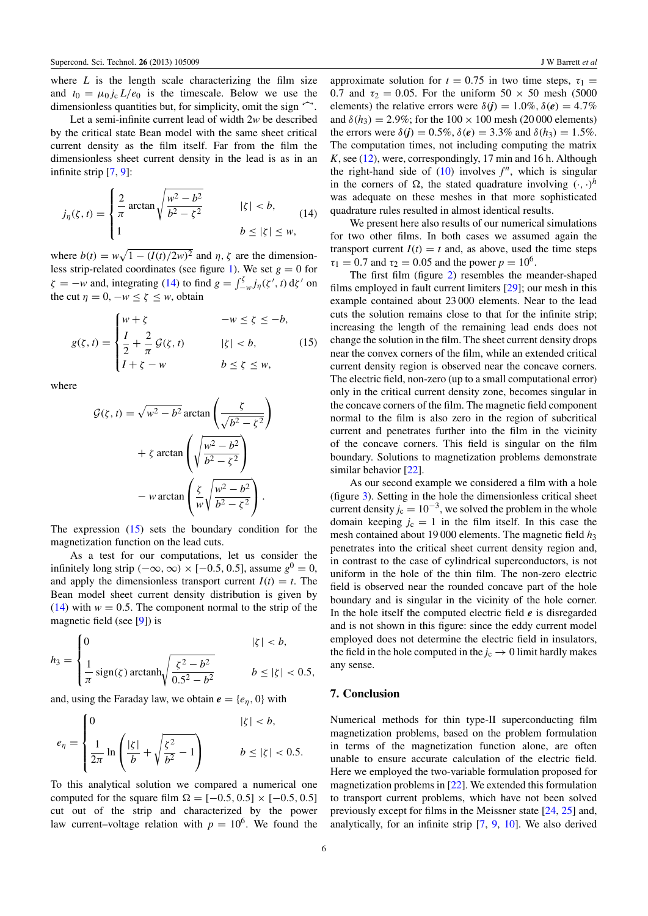where  $L$  is the length scale characterizing the film size and  $t_0 = \mu_0 i_c L/e_0$  is the timescale. Below we use the dimensionless quantities but, for simplicity, omit the sign  $\hat{\cdot}$ .

Let a semi-infinite current lead of width 2*w* be described by the critical state Bean model with the same sheet critical current density as the film itself. Far from the film the dimensionless sheet current density in the lead is as in an infinite strip [\[7,](#page-9-6) [9\]](#page-9-17):

$$
j_{\eta}(\zeta, t) = \begin{cases} \frac{2}{\pi} \arctan \sqrt{\frac{w^2 - b^2}{b^2 - \zeta^2}} & |\zeta| < b, \\ 1 & b \le |\zeta| \le w, \end{cases}
$$
(14)

where  $b(t) = w\sqrt{1 - (I(t)/2w)^2}$  and  $\eta$ ,  $\zeta$  are the dimension-less strip-related coordinates (see figure [1\)](#page-3-1). We set  $g = 0$  for  $\zeta = -w$  and, integrating [\(14\)](#page-6-0) to find  $g = \int_{-w}^{\zeta} j_{\eta}(\zeta', t) d\zeta'$  on the cut  $\eta = 0, -w \le \zeta \le w$ , obtain

$$
g(\zeta, t) = \begin{cases} w + \zeta & -w \le \zeta \le -b, \\ \frac{I}{2} + \frac{2}{\pi} \mathcal{G}(\zeta, t) & |\zeta| < b, \\ I + \zeta - w & b \le \zeta \le w, \end{cases} \tag{15}
$$

where

$$
\mathcal{G}(\zeta, t) = \sqrt{w^2 - b^2} \arctan\left(\frac{\zeta}{\sqrt{b^2 - \zeta^2}}\right)
$$

$$
+ \zeta \arctan\left(\sqrt{\frac{w^2 - b^2}{b^2 - \zeta^2}}\right)
$$

$$
- w \arctan\left(\frac{\zeta}{w}\sqrt{\frac{w^2 - b^2}{b^2 - \zeta^2}}\right).
$$

The expression  $(15)$  sets the boundary condition for the magnetization function on the lead cuts.

As a test for our computations, let us consider the infinitely long strip  $(-\infty, \infty) \times [-0.5, 0.5]$ , assume  $g^0 = 0$ , and apply the dimensionless transport current  $I(t) = t$ . The Bean model sheet current density distribution is given by  $(14)$  with  $w = 0.5$ . The component normal to the strip of the magnetic field (see [\[9\]](#page-9-17)) is

$$
h_3 = \begin{cases} 0 & |\zeta| < b, \\ \frac{1}{\pi} \operatorname{sign}(\zeta) \operatorname{arctanh}\sqrt{\frac{\zeta^2 - b^2}{0.5^2 - b^2}} & b \le |\zeta| < 0.5, \end{cases}
$$

and, using the Faraday law, we obtain  $e = \{e_n, 0\}$  with

$$
e_{\eta} = \begin{cases} 0 & |\zeta| < b, \\ \frac{1}{2\pi} \ln \left( \frac{|\zeta|}{b} + \sqrt{\frac{\zeta^2}{b^2} - 1} \right) & b \le |\zeta| < 0.5. \end{cases}
$$

To this analytical solution we compared a numerical one computed for the square film  $\Omega = [-0.5, 0.5] \times [-0.5, 0.5]$ cut out of the strip and characterized by the power law current–voltage relation with  $p = 10^6$ . We found the

6

approximate solution for  $t = 0.75$  in two time steps,  $\tau_1 =$ 0.7 and  $\tau_2 = 0.05$ . For the uniform  $50 \times 50$  mesh (5000) elements) the relative errors were  $\delta(\vec{r}) = 1.0\%$ ,  $\delta(\vec{e}) = 4.7\%$ and  $\delta(h_3) = 2.9\%$ ; for the  $100 \times 100$  mesh (20 000 elements) the errors were  $\delta(\mathbf{j}) = 0.5\%$ ,  $\delta(\mathbf{e}) = 3.3\%$  and  $\delta(h_3) = 1.5\%$ . The computation times, not including computing the matrix *K*, see [\(12\)](#page-4-0), were, correspondingly, 17 min and 16 h. Although the right-hand side of  $(10)$  involves  $f^n$ , which is singular in the corners of  $\Omega$ , the stated quadrature involving  $(\cdot, \cdot)^h$ was adequate on these meshes in that more sophisticated quadrature rules resulted in almost identical results.

<span id="page-6-0"></span>We present here also results of our numerical simulations for two other films. In both cases we assumed again the transport current  $I(t) = t$  and, as above, used the time steps  $\tau_1 = 0.7$  and  $\tau_2 = 0.05$  and the power  $p = 10^6$ .

<span id="page-6-1"></span>The first film (figure [2\)](#page-7-0) resembles the meander-shaped films employed in fault current limiters [\[29\]](#page-9-22); our mesh in this example contained about 23 000 elements. Near to the lead cuts the solution remains close to that for the infinite strip; increasing the length of the remaining lead ends does not change the solution in the film. The sheet current density drops near the convex corners of the film, while an extended critical current density region is observed near the concave corners. The electric field, non-zero (up to a small computational error) only in the critical current density zone, becomes singular in the concave corners of the film. The magnetic field component normal to the film is also zero in the region of subcritical current and penetrates further into the film in the vicinity of the concave corners. This field is singular on the film boundary. Solutions to magnetization problems demonstrate similar behavior [\[22\]](#page-9-12).

As our second example we considered a film with a hole (figure [3\)](#page-8-0). Setting in the hole the dimensionless critical sheet current density  $j_c = 10^{-3}$ , we solved the problem in the whole domain keeping  $j_c = 1$  in the film itself. In this case the mesh contained about 19 000 elements. The magnetic field  $h_3$ penetrates into the critical sheet current density region and, in contrast to the case of cylindrical superconductors, is not uniform in the hole of the thin film. The non-zero electric field is observed near the rounded concave part of the hole boundary and is singular in the vicinity of the hole corner. In the hole itself the computed electric field *e* is disregarded and is not shown in this figure: since the eddy current model employed does not determine the electric field in insulators, the field in the hole computed in the  $j_c \rightarrow 0$  limit hardly makes any sense.

#### 7. Conclusion

Numerical methods for thin type-II superconducting film magnetization problems, based on the problem formulation in terms of the magnetization function alone, are often unable to ensure accurate calculation of the electric field. Here we employed the two-variable formulation proposed for magnetization problems in [\[22\]](#page-9-12). We extended this formulation to transport current problems, which have not been solved previously except for films in the Meissner state [\[24,](#page-9-14) [25\]](#page-9-15) and, analytically, for an infinite strip [\[7,](#page-9-6) [9,](#page-9-17) [10\]](#page-9-7). We also derived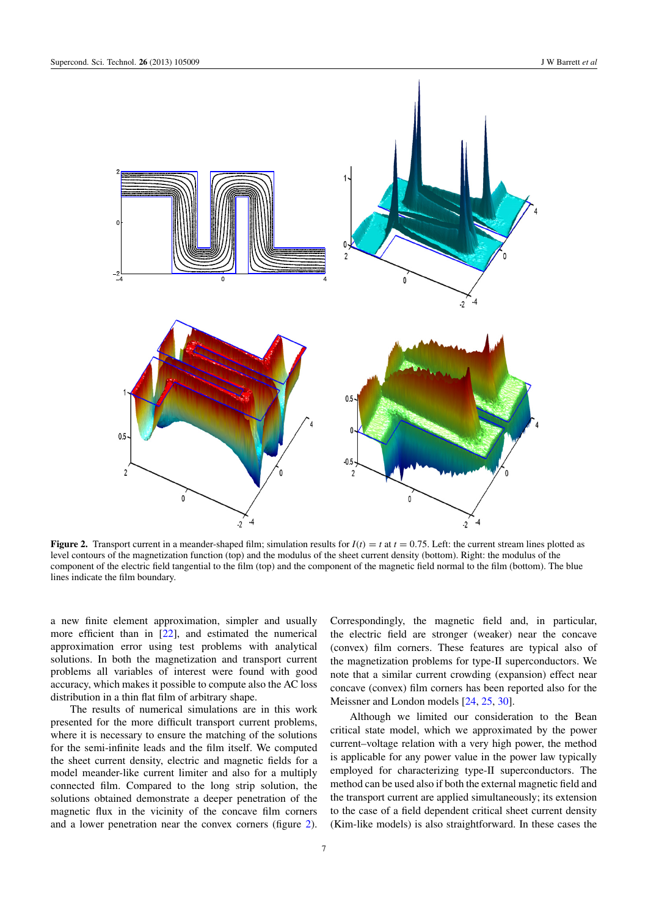<span id="page-7-0"></span>

**Figure 2.** Transport current in a meander-shaped film; simulation results for  $I(t) = t$  at  $t = 0.75$ . Left: the current stream lines plotted as level contours of the magnetization function (top) and the modulus of the sheet current density (bottom). Right: the modulus of the component of the electric field tangential to the film (top) and the component of the magnetic field normal to the film (bottom). The blue lines indicate the film boundary.

a new finite element approximation, simpler and usually more efficient than in [\[22\]](#page-9-12), and estimated the numerical approximation error using test problems with analytical solutions. In both the magnetization and transport current problems all variables of interest were found with good accuracy, which makes it possible to compute also the AC loss distribution in a thin flat film of arbitrary shape.

The results of numerical simulations are in this work presented for the more difficult transport current problems, where it is necessary to ensure the matching of the solutions for the semi-infinite leads and the film itself. We computed the sheet current density, electric and magnetic fields for a model meander-like current limiter and also for a multiply connected film. Compared to the long strip solution, the solutions obtained demonstrate a deeper penetration of the magnetic flux in the vicinity of the concave film corners and a lower penetration near the convex corners (figure [2\)](#page-7-0).

Correspondingly, the magnetic field and, in particular, the electric field are stronger (weaker) near the concave (convex) film corners. These features are typical also of the magnetization problems for type-II superconductors. We note that a similar current crowding (expansion) effect near concave (convex) film corners has been reported also for the Meissner and London models [\[24,](#page-9-14) [25,](#page-9-15) [30\]](#page-9-23).

Although we limited our consideration to the Bean critical state model, which we approximated by the power current–voltage relation with a very high power, the method is applicable for any power value in the power law typically employed for characterizing type-II superconductors. The method can be used also if both the external magnetic field and the transport current are applied simultaneously; its extension to the case of a field dependent critical sheet current density (Kim-like models) is also straightforward. In these cases the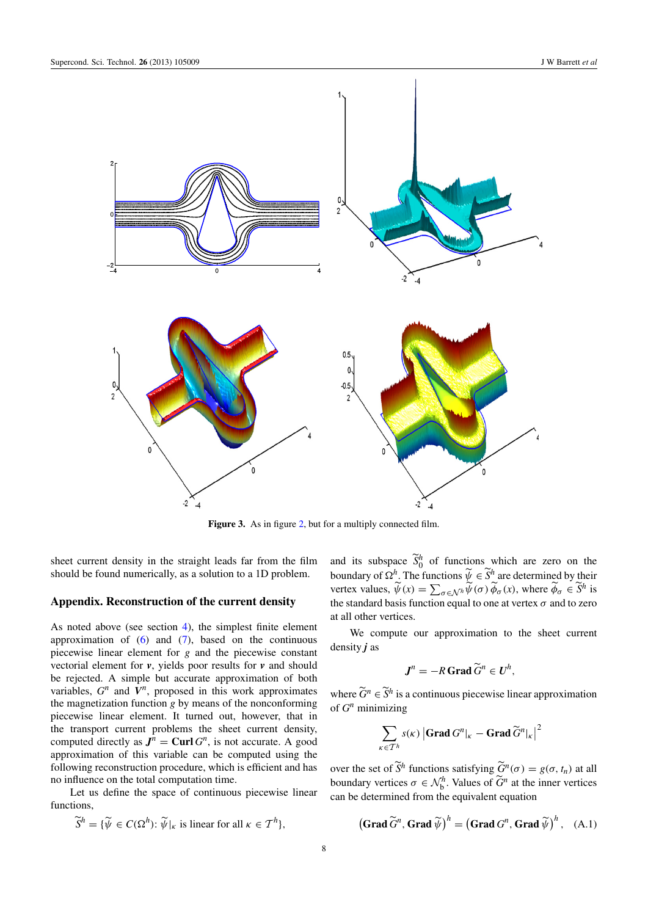<span id="page-8-0"></span>

Figure 3. As in figure [2,](#page-7-0) but for a multiply connected film.

sheet current density in the straight leads far from the film should be found numerically, as a solution to a 1D problem.

## Appendix. Reconstruction of the current density

As noted above (see section [4\)](#page-3-4), the simplest finite element approximation of  $(6)$  and  $(7)$ , based on the continuous piecewise linear element for *g* and the piecewise constant vectorial element for *v*, yields poor results for *v* and should be rejected. A simple but accurate approximation of both variables,  $G<sup>n</sup>$  and  $V<sup>n</sup>$ , proposed in this work approximates the magnetization function *g* by means of the nonconforming piecewise linear element. It turned out, however, that in the transport current problems the sheet current density, computed directly as  $J^n$  = **Curl**  $G^n$ , is not accurate. A good approximation of this variable can be computed using the following reconstruction procedure, which is efficient and has no influence on the total computation time.

Let us define the space of continuous piecewise linear functions,

$$
\widetilde{S}^h = \{ \widetilde{\psi} \in C(\Omega^h) : \widetilde{\psi}|_{\kappa} \text{ is linear for all } \kappa \in \mathcal{T}^h \},
$$

and its subspace  $\widetilde{S}_0^h$  of functions which are zero on the boundary of  $\Omega^h$ . The functions  $\widetilde{\psi} \in \widetilde{S}^h$  are determined by their vertex values,  $\widetilde{\psi}(x) = \sum_{\sigma \in \mathcal{N}^h} \widetilde{\psi}(\sigma) \widetilde{\phi}_{\sigma}(x)$ , where  $\widetilde{\phi}_{\sigma} \in \widetilde{S}^h$  is the standard basis function equal to one at vertex  $\sigma$  and to zero at all other vertices.

We compute our approximation to the sheet current density *j* as

$$
J^n=-R\operatorname{Grad} \widetilde{G}^n\in U^h,
$$

where  $\widetilde{G}^n \in \widetilde{S}^h$  is a continuous piecewise linear approximation of  $G<sup>n</sup>$  minimizing

<span id="page-8-1"></span>
$$
\sum_{\kappa \in \mathcal{T}^h} s(\kappa) |\mathbf{Grad} \, G^n|_{\kappa} - \mathbf{Grad} \, \widetilde{G}^n|_{\kappa}|^2
$$

over the set of  $\widetilde{S}^h$  functions satisfying  $\widetilde{G}^n(\sigma) = g(\sigma, t_n)$  at all boundary vertices  $\sigma \in \mathcal{N}_{b}^{h}$ . Values of  $\widetilde{G}^{n}$  at the inner vertices can be determined from the equivalent equation

$$
\left(\textbf{Grad}\,\widetilde{G}^n,\textbf{Grad}\,\widetilde{\psi}\right)^h = \left(\textbf{Grad}\,G^n,\textbf{Grad}\,\widetilde{\psi}\right)^h,\quad (A.1)
$$